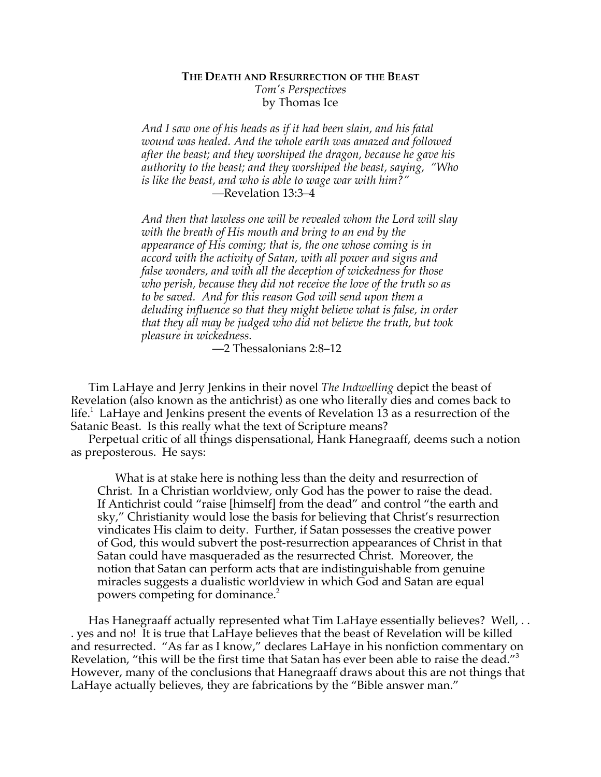# **THE DEATH AND RESURRECTION OF THE BEAST** *Tom's Perspectives* by Thomas Ice

*And I saw one of his heads as if it had been slain, and his fatal wound was healed. And the whole earth was amazed and followed after the beast; and they worshiped the dragon, because he gave his authority to the beast; and they worshiped the beast, saying, "Who is like the beast, and who is able to wage war with him?"* —Revelation 13:3–4

*And then that lawless one will be revealed whom the Lord will slay with the breath of His mouth and bring to an end by the appearance of His coming; that is, the one whose coming is in accord with the activity of Satan, with all power and signs and false wonders, and with all the deception of wickedness for those who perish, because they did not receive the love of the truth so as to be saved. And for this reason God will send upon them a deluding influence so that they might believe what is false, in order that they all may be judged who did not believe the truth, but took pleasure in wickedness.*

—2 Thessalonians 2:8–12

Tim LaHaye and Jerry Jenkins in their novel *The Indwelling* depict the beast of Revelation (also known as the antichrist) as one who literally dies and comes back to life.<sup>1</sup> LaHaye and Jenkins present the events of Revelation 13 as a resurrection of the Satanic Beast. Is this really what the text of Scripture means?

Perpetual critic of all things dispensational, Hank Hanegraaff, deems such a notion as preposterous. He says:

What is at stake here is nothing less than the deity and resurrection of Christ. In a Christian worldview, only God has the power to raise the dead. If Antichrist could "raise [himself] from the dead" and control "the earth and sky," Christianity would lose the basis for believing that Christ's resurrection vindicates His claim to deity. Further, if Satan possesses the creative power of God, this would subvert the post-resurrection appearances of Christ in that Satan could have masqueraded as the resurrected Christ. Moreover, the notion that Satan can perform acts that are indistinguishable from genuine miracles suggests a dualistic worldview in which God and Satan are equal powers competing for dominance.<sup>2</sup>

Has Hanegraaff actually represented what Tim LaHaye essentially believes? Well, . . . yes and no! It is true that LaHaye believes that the beast of Revelation will be killed and resurrected. "As far as I know," declares LaHaye in his nonfiction commentary on Revelation, "this will be the first time that Satan has ever been able to raise the dead."3 However, many of the conclusions that Hanegraaff draws about this are not things that LaHaye actually believes, they are fabrications by the "Bible answer man."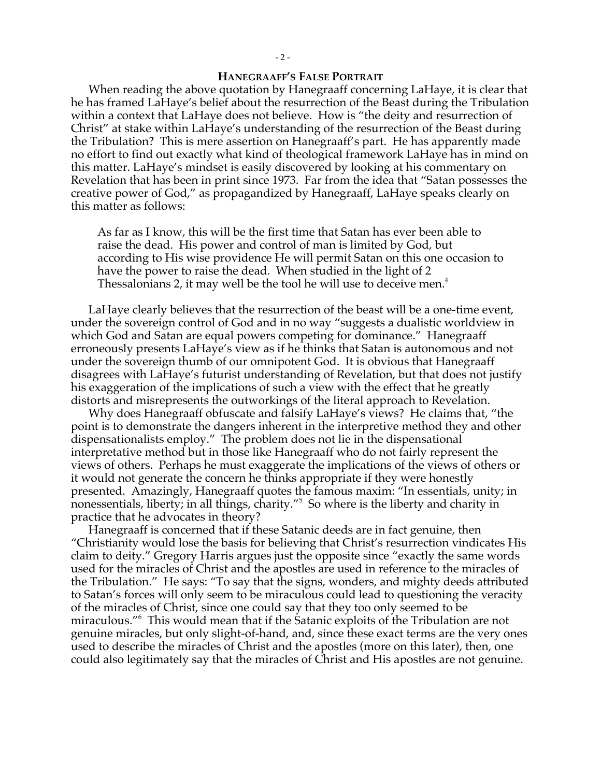### **HANEGRAAFF'S FALSE PORTRAIT**

When reading the above quotation by Hanegraaff concerning LaHaye, it is clear that he has framed LaHaye's belief about the resurrection of the Beast during the Tribulation within a context that LaHaye does not believe. How is "the deity and resurrection of Christ" at stake within LaHaye's understanding of the resurrection of the Beast during the Tribulation? This is mere assertion on Hanegraaff's part. He has apparently made no effort to find out exactly what kind of theological framework LaHaye has in mind on this matter. LaHaye's mindset is easily discovered by looking at his commentary on Revelation that has been in print since 1973. Far from the idea that "Satan possesses the creative power of God," as propagandized by Hanegraaff, LaHaye speaks clearly on this matter as follows:

As far as I know, this will be the first time that Satan has ever been able to raise the dead. His power and control of man is limited by God, but according to His wise providence He will permit Satan on this one occasion to have the power to raise the dead. When studied in the light of 2 Thessalonians 2, it may well be the tool he will use to deceive men.<sup>4</sup>

LaHaye clearly believes that the resurrection of the beast will be a one-time event, under the sovereign control of God and in no way "suggests a dualistic worldview in which God and Satan are equal powers competing for dominance." Hanegraaff erroneously presents LaHaye's view as if he thinks that Satan is autonomous and not under the sovereign thumb of our omnipotent God. It is obvious that Hanegraaff disagrees with LaHaye's futurist understanding of Revelation, but that does not justify his exaggeration of the implications of such a view with the effect that he greatly distorts and misrepresents the outworkings of the literal approach to Revelation.

Why does Hanegraaff obfuscate and falsify LaHaye's views? He claims that, "the point is to demonstrate the dangers inherent in the interpretive method they and other dispensationalists employ." The problem does not lie in the dispensational interpretative method but in those like Hanegraaff who do not fairly represent the views of others. Perhaps he must exaggerate the implications of the views of others or it would not generate the concern he thinks appropriate if they were honestly presented. Amazingly, Hanegraaff quotes the famous maxim: "In essentials, unity; in nonessentials, liberty; in all things, charity."5 So where is the liberty and charity in practice that he advocates in theory?

Hanegraaff is concerned that if these Satanic deeds are in fact genuine, then "Christianity would lose the basis for believing that Christ's resurrection vindicates His claim to deity." Gregory Harris argues just the opposite since "exactly the same words used for the miracles of Christ and the apostles are used in reference to the miracles of the Tribulation." He says: "To say that the signs, wonders, and mighty deeds attributed to Satan's forces will only seem to be miraculous could lead to questioning the veracity of the miracles of Christ, since one could say that they too only seemed to be miraculous."6 This would mean that if the Satanic exploits of the Tribulation are not genuine miracles, but only slight-of-hand, and, since these exact terms are the very ones used to describe the miracles of Christ and the apostles (more on this later), then, one could also legitimately say that the miracles of Christ and His apostles are not genuine.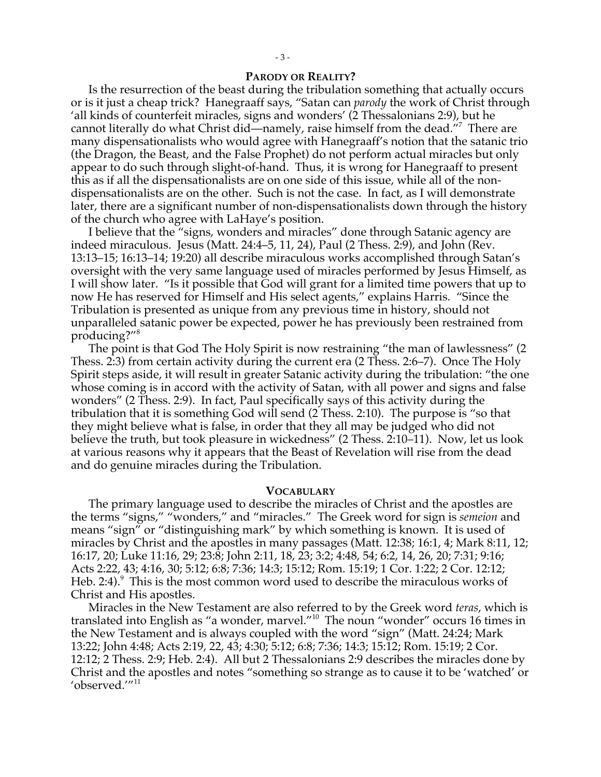### **PARODY OR REALITY?**

Is the resurrection of the beast during the tribulation something that actually occurs or is it just a cheap trick? Hanegraaff says, "Satan can *parody* the work of Christ through 'all kinds of counterfeit miracles, signs and wonders' (2 Thessalonians 2:9), but he cannot literally do what Christ did—namely, raise himself from the dead."<sup>7</sup> There are many dispensationalists who would agree with Hanegraaff's notion that the satanic trio (the Dragon, the Beast, and the False Prophet) do not perform actual miracles but only appear to do such through slight-of-hand. Thus, it is wrong for Hanegraaff to present this as if all the dispensationalists are on one side of this issue, while all of the nondispensationalists are on the other. Such is not the case. In fact, as I will demonstrate later, there are a significant number of non-dispensationalists down through the history of the church who agree with LaHaye's position.

I believe that the "signs, wonders and miracles" done through Satanic agency are indeed miraculous. Jesus (Matt. 24:4–5, 11, 24), Paul (2 Thess. 2:9), and John (Rev. 13:13–15; 16:13–14; 19:20) all describe miraculous works accomplished through Satan's oversight with the very same language used of miracles performed by Jesus Himself, as I will show later. "Is it possible that God will grant for a limited time powers that up to now He has reserved for Himself and His select agents," explains Harris. "Since the Tribulation is presented as unique from any previous time in history, should not unparalleled satanic power be expected, power he has previously been restrained from producing?"<sup>8</sup>

The point is that God The Holy Spirit is now restraining "the man of lawlessness" (2 Thess. 2:3) from certain activity during the current era (2 Thess. 2:6–7). Once The Holy Spirit steps aside, it will result in greater Satanic activity during the tribulation: "the one whose coming is in accord with the activity of Satan, with all power and signs and false wonders" (2 Thess. 2:9). In fact, Paul specifically says of this activity during the tribulation that it is something God will send (2 Thess. 2:10). The purpose is "so that they might believe what is false, in order that they all may be judged who did not believe the truth, but took pleasure in wickedness" (2 Thess. 2:10–11). Now, let us look at various reasons why it appears that the Beast of Revelation will rise from the dead and do genuine miracles during the Tribulation.

#### **VOCABULARY**

The primary language used to describe the miracles of Christ and the apostles are the terms "signs," "wonders," and "miracles." The Greek word for sign is *semeion* and means "sign" or "distinguishing mark" by which something is known. It is used of miracles by Christ and the apostles in many passages (Matt. 12:38; 16:1, 4; Mark 8:11, 12; 16:17, 20; Luke 11:16, 29; 23:8; John 2:11, 18, 23; 3:2; 4:48, 54; 6:2, 14, 26, 20; 7:31; 9:16; Acts 2:22, 43; 4:16, 30; 5:12; 6:8; 7:36; 14:3; 15:12; Rom. 15:19; 1 Cor. 1:22; 2 Cor. 12:12; Heb. 2:4).<sup>9</sup> This is the most common word used to describe the miraculous works of Christ and His apostles.

Miracles in the New Testament are also referred to by the Greek word *teras*, which is translated into English as "a wonder, marvel."<sup>10</sup> The noun "wonder" occurs 16 times in the New Testament and is always coupled with the word "sign" (Matt. 24:24; Mark 13:22; John 4:48; Acts 2:19, 22, 43; 4:30; 5:12; 6:8; 7:36; 14:3; 15:12; Rom. 15:19; 2 Cor. 12:12; 2 Thess. 2:9; Heb. 2:4). All but 2 Thessalonians 2:9 describes the miracles done by Christ and the apostles and notes "something so strange as to cause it to be 'watched' or 'observed.'"<sup>11</sup>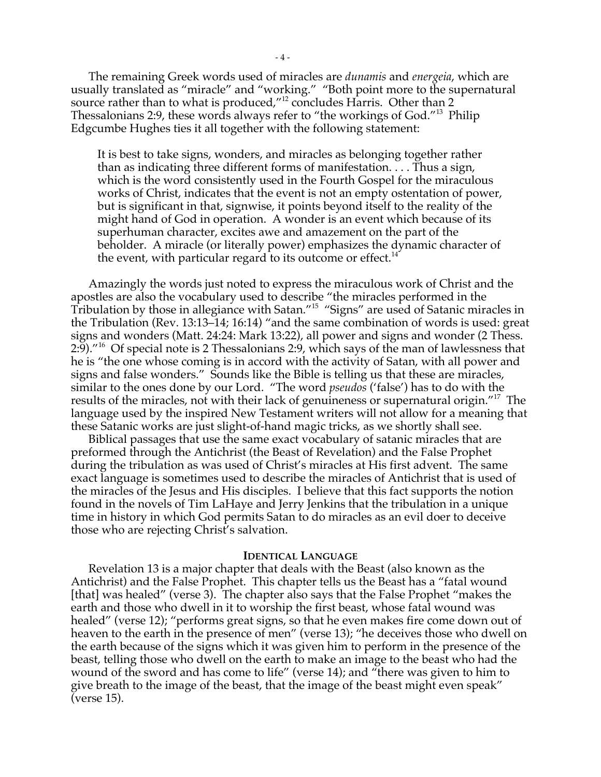The remaining Greek words used of miracles are *dunamis* and *energeia*, which are usually translated as "miracle" and "working." "Both point more to the supernatural source rather than to what is produced,"<sup>12</sup> concludes Harris. Other than 2 Thessalonians 2:9, these words always refer to "the workings of God."<sup>13</sup> Philip Edgcumbe Hughes ties it all together with the following statement:

It is best to take signs, wonders, and miracles as belonging together rather than as indicating three different forms of manifestation. . . . Thus a sign, which is the word consistently used in the Fourth Gospel for the miraculous works of Christ, indicates that the event is not an empty ostentation of power, but is significant in that, signwise, it points beyond itself to the reality of the might hand of God in operation. A wonder is an event which because of its superhuman character, excites awe and amazement on the part of the beholder. A miracle (or literally power) emphasizes the dynamic character of the event, with particular regard to its outcome or effect.<sup>14</sup>

Amazingly the words just noted to express the miraculous work of Christ and the apostles are also the vocabulary used to describe "the miracles performed in the Tribulation by those in allegiance with Satan."<sup>15</sup> "Signs" are used of Satanic miracles in the Tribulation (Rev. 13:13–14; 16:14) "and the same combination of words is used: great signs and wonders (Matt. 24:24: Mark 13:22), all power and signs and wonder (2 Thess. 2:9)."<sup>16</sup> Of special note is 2 Thessalonians 2:9, which says of the man of lawlessness that he is "the one whose coming is in accord with the activity of Satan, with all power and signs and false wonders." Sounds like the Bible is telling us that these are miracles, similar to the ones done by our Lord. "The word *pseudos* ('false') has to do with the results of the miracles, not with their lack of genuineness or supernatural origin."17 The language used by the inspired New Testament writers will not allow for a meaning that these Satanic works are just slight-of-hand magic tricks, as we shortly shall see.

Biblical passages that use the same exact vocabulary of satanic miracles that are preformed through the Antichrist (the Beast of Revelation) and the False Prophet during the tribulation as was used of Christ's miracles at His first advent. The same exact language is sometimes used to describe the miracles of Antichrist that is used of the miracles of the Jesus and His disciples. I believe that this fact supports the notion found in the novels of Tim LaHaye and Jerry Jenkins that the tribulation in a unique time in history in which God permits Satan to do miracles as an evil doer to deceive those who are rejecting Christ's salvation.

#### **IDENTICAL LANGUAGE**

Revelation 13 is a major chapter that deals with the Beast (also known as the Antichrist) and the False Prophet. This chapter tells us the Beast has a "fatal wound [that] was healed" (verse 3). The chapter also says that the False Prophet "makes the earth and those who dwell in it to worship the first beast, whose fatal wound was healed" (verse 12); "performs great signs, so that he even makes fire come down out of heaven to the earth in the presence of men" (verse 13); "he deceives those who dwell on the earth because of the signs which it was given him to perform in the presence of the beast, telling those who dwell on the earth to make an image to the beast who had the wound of the sword and has come to life" (verse 14); and "there was given to him to give breath to the image of the beast, that the image of the beast might even speak" (verse 15).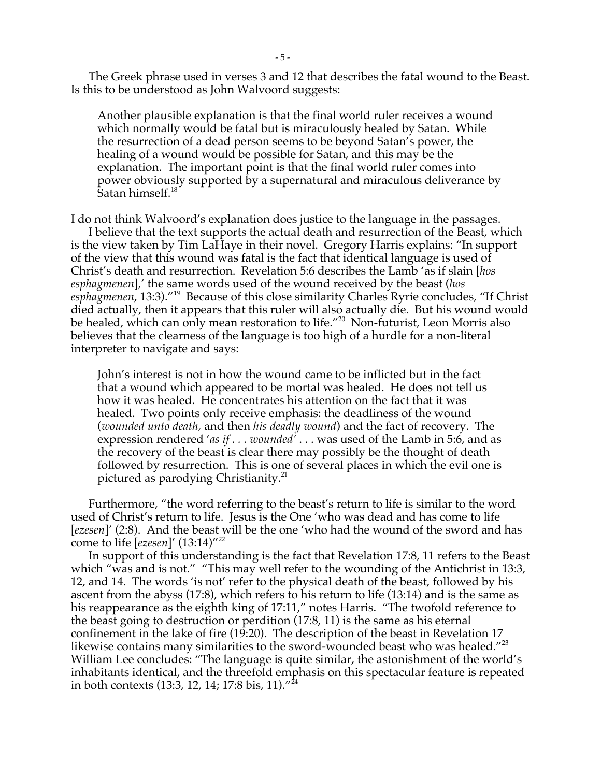The Greek phrase used in verses 3 and 12 that describes the fatal wound to the Beast. Is this to be understood as John Walvoord suggests:

Another plausible explanation is that the final world ruler receives a wound which normally would be fatal but is miraculously healed by Satan. While the resurrection of a dead person seems to be beyond Satan's power, the healing of a wound would be possible for Satan, and this may be the explanation. The important point is that the final world ruler comes into power obviously supported by a supernatural and miraculous deliverance by Satan himself.<sup>18</sup>

I do not think Walvoord's explanation does justice to the language in the passages.

I believe that the text supports the actual death and resurrection of the Beast, which is the view taken by Tim LaHaye in their novel. Gregory Harris explains: "In support of the view that this wound was fatal is the fact that identical language is used of Christ's death and resurrection. Revelation 5:6 describes the Lamb 'as if slain [*hos esphagmenen*],' the same words used of the wound received by the beast (*hos* esphagmenen, 13:3)."<sup>19</sup> Because of this close similarity Charles Ryrie concludes, "If Christ died actually, then it appears that this ruler will also actually die. But his wound would be healed, which can only mean restoration to life."<sup>20</sup> Non-futurist, Leon Morris also believes that the clearness of the language is too high of a hurdle for a non-literal interpreter to navigate and says:

John's interest is not in how the wound came to be inflicted but in the fact that a wound which appeared to be mortal was healed. He does not tell us how it was healed. He concentrates his attention on the fact that it was healed. Two points only receive emphasis: the deadliness of the wound (*wounded unto death,* and then *his deadly wound*) and the fact of recovery. The expression rendered '*as if . . . wounded'* . . . was used of the Lamb in 5:6, and as the recovery of the beast is clear there may possibly be the thought of death followed by resurrection. This is one of several places in which the evil one is pictured as parodying Christianity.<sup>21</sup>

Furthermore, "the word referring to the beast's return to life is similar to the word used of Christ's return to life. Jesus is the One 'who was dead and has come to life [*ezesen*]' (2:8). And the beast will be the one 'who had the wound of the sword and has come to life [*ezesen*]' (13:14)"<sup>22</sup>

In support of this understanding is the fact that Revelation 17:8, 11 refers to the Beast which "was and is not." "This may well refer to the wounding of the Antichrist in 13:3, 12, and 14. The words 'is not' refer to the physical death of the beast, followed by his ascent from the abyss (17:8), which refers to his return to life (13:14) and is the same as his reappearance as the eighth king of 17:11," notes Harris. "The twofold reference to the beast going to destruction or perdition (17:8, 11) is the same as his eternal confinement in the lake of fire (19:20). The description of the beast in Revelation 17 likewise contains many similarities to the sword-wounded beast who was healed."<sup>23</sup> William Lee concludes: "The language is quite similar, the astonishment of the world's inhabitants identical, and the threefold emphasis on this spectacular feature is repeated in both contexts (13:3, 12, 14; 17:8 bis, 11)."<sup>24</sup>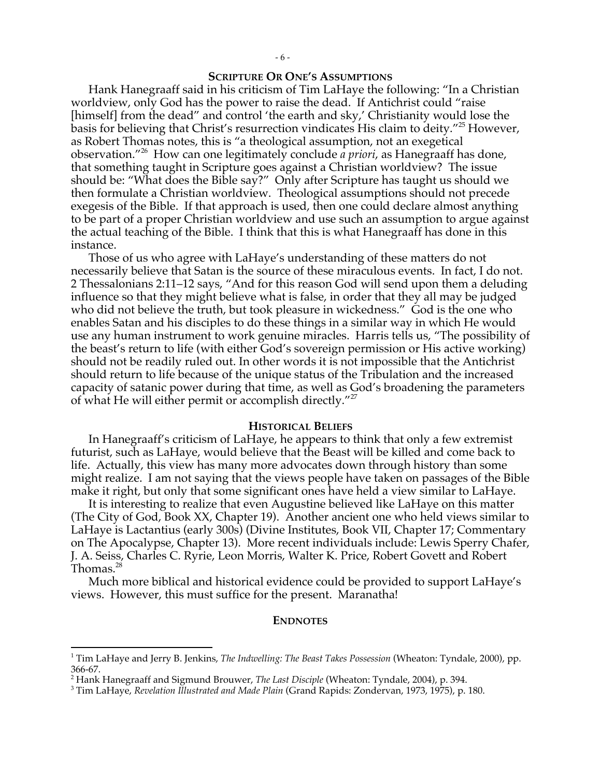## **SCRIPTURE OR ONE'S ASSUMPTIONS**

Hank Hanegraaff said in his criticism of Tim LaHaye the following: "In a Christian worldview, only God has the power to raise the dead. If Antichrist could "raise [himself] from the dead" and control 'the earth and sky,' Christianity would lose the basis for believing that Christ's resurrection vindicates His claim to deity."<sup>25</sup> However, as Robert Thomas notes, this is "a theological assumption, not an exegetical observation."<sup>26</sup> How can one legitimately conclude *a priori*, as Hanegraaff has done, that something taught in Scripture goes against a Christian worldview? The issue should be: "What does the Bible say?" Only after Scripture has taught us should we then formulate a Christian worldview. Theological assumptions should not precede exegesis of the Bible. If that approach is used, then one could declare almost anything to be part of a proper Christian worldview and use such an assumption to argue against the actual teaching of the Bible. I think that this is what Hanegraaff has done in this instance.

Those of us who agree with LaHaye's understanding of these matters do not necessarily believe that Satan is the source of these miraculous events. In fact, I do not. 2 Thessalonians 2:11–12 says, "And for this reason God will send upon them a deluding influence so that they might believe what is false, in order that they all may be judged who did not believe the truth, but took pleasure in wickedness." God is the one who enables Satan and his disciples to do these things in a similar way in which He would use any human instrument to work genuine miracles. Harris tells us, "The possibility of the beast's return to life (with either God's sovereign permission or His active working) should not be readily ruled out. In other words it is not impossible that the Antichrist should return to life because of the unique status of the Tribulation and the increased capacity of satanic power during that time, as well as God's broadening the parameters of what He will either permit or accomplish directly."<sup>27</sup>

#### **HISTORICAL BELIEFS**

In Hanegraaff's criticism of LaHaye, he appears to think that only a few extremist futurist, such as LaHaye, would believe that the Beast will be killed and come back to life. Actually, this view has many more advocates down through history than some might realize. I am not saying that the views people have taken on passages of the Bible make it right, but only that some significant ones have held a view similar to LaHaye.

It is interesting to realize that even Augustine believed like LaHaye on this matter (The City of God, Book XX, Chapter 19). Another ancient one who held views similar to LaHaye is Lactantius (early 300s) (Divine Institutes, Book VII, Chapter 17; Commentary on The Apocalypse, Chapter 13). More recent individuals include: Lewis Sperry Chafer, J. A. Seiss, Charles C. Ryrie, Leon Morris, Walter K. Price, Robert Govett and Robert Thomas.<sup>28</sup>

Much more biblical and historical evidence could be provided to support LaHaye's views. However, this must suffice for the present. Maranatha!

#### **ENDNOTES**

<sup>|&</sup>lt;br>1 Tim LaHaye and Jerry B. Jenkins, *The Indwelling: The Beast Takes Possession* (Wheaton: Tyndale, 2000), pp. 366-67.

<sup>&</sup>lt;sup>2</sup> Hank Hanegraaff and Sigmund Brouwer*, The Last Disciple* (Wheaton: Tyndale, 2004), p. 394.<br><sup>3</sup> Tim LaHayo, Revelation Illustrated and Made Plain (Crand Banids: Zondoryan, 1973, 1975), p.

Tim LaHaye, *Revelation Illustrated and Made Plain* (Grand Rapids: Zondervan, 1973, 1975), p. 180.